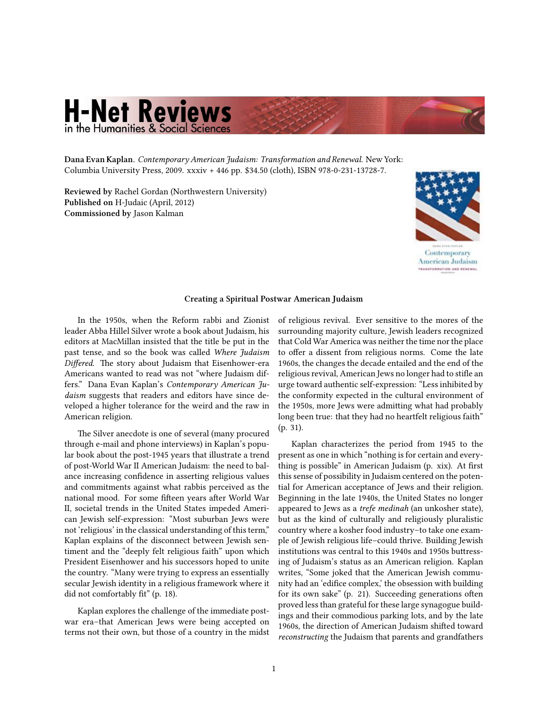## **H-Net Reviews** in the Humanities & Social Sciences

**Dana Evan Kaplan.** *[Contemporary American Judaism: Transformation and Renewal.](http://www.amazon.com/exec/obidos/ASIN/0231137281)* New York: Columbia University Press, 2009. xxxiv + 446 pp. \$34.50 (cloth), ISBN 978-0-231-13728-7.

**Reviewed by** Rachel Gordan (Northwestern University) **Published on** H-Judaic (April, 2012) **Commissioned by** Jason Kalman



## **Creating a Spiritual Postwar American Judaism**

In the 1950s, when the Reform rabbi and Zionist leader Abba Hillel Silver wrote a book about Judaism, his editors at MacMillan insisted that the title be put in the past tense, and so the book was called *Where Judaism Differed*. The story about Judaism that Eisenhower-era Americans wanted to read was not "where Judaism differs." Dana Evan Kaplan's *Contemporary American Judaism* suggests that readers and editors have since developed a higher tolerance for the weird and the raw in American religion.

The Silver anecdote is one of several (many procured through e-mail and phone interviews) in Kaplan's popular book about the post-1945 years that illustrate a trend of post-World War II American Judaism: the need to balance increasing confidence in asserting religious values and commitments against what rabbis perceived as the national mood. For some fifteen years after World War II, societal trends in the United States impeded American Jewish self-expression: "Most suburban Jews were not 'religious' in the classical understanding of this term," Kaplan explains of the disconnect between Jewish sentiment and the "deeply felt religious faith" upon which President Eisenhower and his successors hoped to unite the country. "Many were trying to express an essentially secular Jewish identity in a religious framework where it did not comfortably fit" (p. 18).

Kaplan explores the challenge of the immediate postwar era–that American Jews were being accepted on terms not their own, but those of a country in the midst of religious revival. Ever sensitive to the mores of the surrounding majority culture, Jewish leaders recognized that Cold War America was neither the time nor the place to offer a dissent from religious norms. Come the late 1960s, the changes the decade entailed and the end of the religious revival, American Jews no longer had to stifle an urge toward authentic self-expression: "Less inhibited by the conformity expected in the cultural environment of the 1950s, more Jews were admitting what had probably long been true: that they had no heartfelt religious faith" (p. 31).

Kaplan characterizes the period from 1945 to the present as one in which "nothing is for certain and everything is possible" in American Judaism (p. xix). At first this sense of possibility in Judaism centered on the potential for American acceptance of Jews and their religion. Beginning in the late 1940s, the United States no longer appeared to Jews as a *trefe medinah* (an unkosher state), but as the kind of culturally and religiously pluralistic country where a kosher food industry–to take one example of Jewish religious life–could thrive. Building Jewish institutions was central to this 1940s and 1950s buttressing of Judaism's status as an American religion. Kaplan writes, "Some joked that the American Jewish community had an 'edifice complex,' the obsession with building for its own sake" (p. 21). Succeeding generations often proved less than grateful for these large synagogue buildings and their commodious parking lots, and by the late 1960s, the direction of American Judaism shifted toward *reconstructing* the Judaism that parents and grandfathers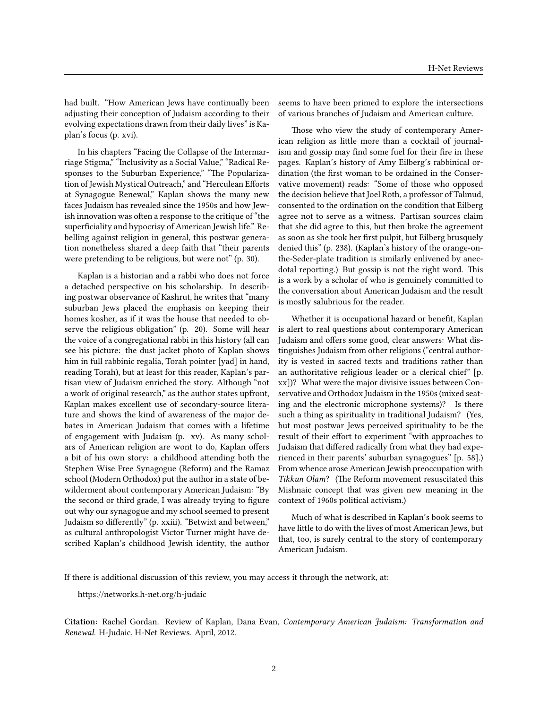had built. "How American Jews have continually been adjusting their conception of Judaism according to their evolving expectations drawn from their daily lives" is Kaplan's focus (p. xvi).

In his chapters "Facing the Collapse of the Intermarriage Stigma," "Inclusivity as a Social Value," "Radical Responses to the Suburban Experience," "The Popularization of Jewish Mystical Outreach," and "Herculean Efforts at Synagogue Renewal," Kaplan shows the many new faces Judaism has revealed since the 1950s and how Jewish innovation was often a response to the critique of "the superficiality and hypocrisy of American Jewish life." Rebelling against religion in general, this postwar generation nonetheless shared a deep faith that "their parents were pretending to be religious, but were not" (p. 30).

Kaplan is a historian and a rabbi who does not force a detached perspective on his scholarship. In describing postwar observance of Kashrut, he writes that "many suburban Jews placed the emphasis on keeping their homes kosher, as if it was the house that needed to observe the religious obligation" (p. 20). Some will hear the voice of a congregational rabbi in this history (all can see his picture: the dust jacket photo of Kaplan shows him in full rabbinic regalia, Torah pointer [yad] in hand, reading Torah), but at least for this reader, Kaplan's partisan view of Judaism enriched the story. Although "not a work of original research," as the author states upfront, Kaplan makes excellent use of secondary-source literature and shows the kind of awareness of the major debates in American Judaism that comes with a lifetime of engagement with Judaism (p. xv). As many scholars of American religion are wont to do, Kaplan offers a bit of his own story: a childhood attending both the Stephen Wise Free Synagogue (Reform) and the Ramaz school (Modern Orthodox) put the author in a state of bewilderment about contemporary American Judaism: "By the second or third grade, I was already trying to figure out why our synagogue and my school seemed to present Judaism so differently" (p. xxiii). "Betwixt and between," as cultural anthropologist Victor Turner might have described Kaplan's childhood Jewish identity, the author

seems to have been primed to explore the intersections of various branches of Judaism and American culture.

Those who view the study of contemporary American religion as little more than a cocktail of journalism and gossip may find some fuel for their fire in these pages. Kaplan's history of Amy Eilberg's rabbinical ordination (the first woman to be ordained in the Conservative movement) reads: "Some of those who opposed the decision believe that Joel Roth, a professor of Talmud, consented to the ordination on the condition that Eilberg agree not to serve as a witness. Partisan sources claim that she did agree to this, but then broke the agreement as soon as she took her first pulpit, but Eilberg brusquely denied this" (p. 238). (Kaplan's history of the orange-onthe-Seder-plate tradition is similarly enlivened by anecdotal reporting.) But gossip is not the right word. This is a work by a scholar of who is genuinely committed to the conversation about American Judaism and the result is mostly salubrious for the reader.

Whether it is occupational hazard or benefit, Kaplan is alert to real questions about contemporary American Judaism and offers some good, clear answers: What distinguishes Judaism from other religions ("central authority is vested in sacred texts and traditions rather than an authoritative religious leader or a clerical chief" [p. xx])? What were the major divisive issues between Conservative and Orthodox Judaism in the 1950s (mixed seating and the electronic microphone systems)? Is there such a thing as spirituality in traditional Judaism? (Yes, but most postwar Jews perceived spirituality to be the result of their effort to experiment "with approaches to Judaism that differed radically from what they had experienced in their parents' suburban synagogues" [p. 58].) From whence arose American Jewish preoccupation with *Tikkun Olam*? (The Reform movement resuscitated this Mishnaic concept that was given new meaning in the context of 1960s political activism.)

Much of what is described in Kaplan's book seems to have little to do with the lives of most American Jews, but that, too, is surely central to the story of contemporary American Judaism.

If there is additional discussion of this review, you may access it through the network, at:

<https://networks.h-net.org/h-judaic>

**Citation:** Rachel Gordan. Review of Kaplan, Dana Evan, *Contemporary American Judaism: Transformation and Renewal*. H-Judaic, H-Net Reviews. April, 2012.